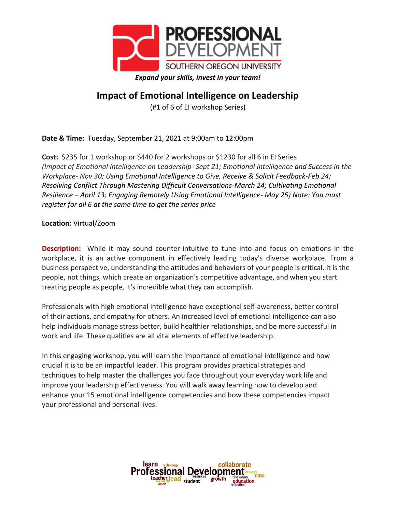

## **Impact of Emotional Intelligence on Leadership**

(#1 of 6 of EI workshop Series)

**Date & Time:** Tuesday, September 21, 2021 at 9:00am to 12:00pm

**Cost:** \$235 for 1 workshop or \$440 for 2 workshops or \$1230 for all 6 in EI Series *(Impact of Emotional Intelligence on Leadership- Sept 21; Emotional Intelligence and Success in the Workplace- Nov 30; Using Emotional Intelligence to Give, Receive & Solicit Feedback-Feb 24; Resolving Conflict Through Mastering Difficult Conversations-March 24; Cultivating Emotional Resilience – April 13; Engaging Remotely Using Emotional Intelligence- May 25) Note: You must register for all 6 at the same time to get the series price* 

**Location:** Virtual/Zoom

**Description:** While it may sound counter-intuitive to tune into and focus on emotions in the workplace, it is an active component in effectively leading today's diverse workplace. From a business perspective, understanding the attitudes and behaviors of your people is critical. It is the people, not things, which create an organization's competitive advantage, and when you start treating people as people, it's incredible what they can accomplish.

Professionals with high emotional intelligence have exceptional self-awareness, better control of their actions, and empathy for others. An increased level of emotional intelligence can also help individuals manage stress better, build healthier relationships, and be more successful in work and life. These qualities are all vital elements of effective leadership.

In this engaging workshop, you will learn the importance of emotional intelligence and how crucial it is to be an impactful leader. This program provides practical strategies and techniques to help master the challenges you face throughout your everyday work life and improve your leadership effectiveness. You will walk away learning how to develop and enhance your 15 emotional intelligence competencies and how these competencies impact your professional and personal lives.